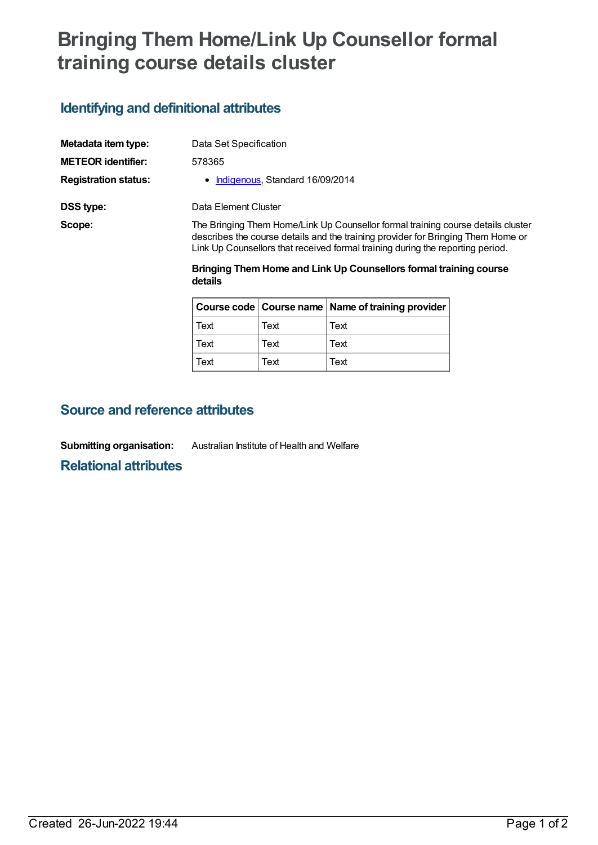## **Bringing Them Home/Link Up Counsellor formal training course details cluster**

## **Identifying and definitional attributes**

| Metadata item type:         | Data Set Specification                                                                                                                                                                                                                                 |
|-----------------------------|--------------------------------------------------------------------------------------------------------------------------------------------------------------------------------------------------------------------------------------------------------|
| <b>METEOR identifier:</b>   | 578365                                                                                                                                                                                                                                                 |
| <b>Registration status:</b> | • Indigenous, Standard 16/09/2014                                                                                                                                                                                                                      |
| DSS type:                   | Data Element Cluster                                                                                                                                                                                                                                   |
| Scope:                      | The Bringing Them Home/Link Up Counsellor formal training course details cluster<br>describes the course details and the training provider for Bringing Them Home or<br>Link Up Counsellors that received formal training during the reporting period. |

**Bringing ThemHome and Link Up Counsellors formal training course details**

|      |      | Course code   Course name   Name of training provider |
|------|------|-------------------------------------------------------|
| Text | Text | Text                                                  |
| Text | Text | Text                                                  |
| Text | Text | Text                                                  |

## **Source and reference attributes**

**Submitting organisation:** Australian Institute of Health and Welfare

**Relational attributes**